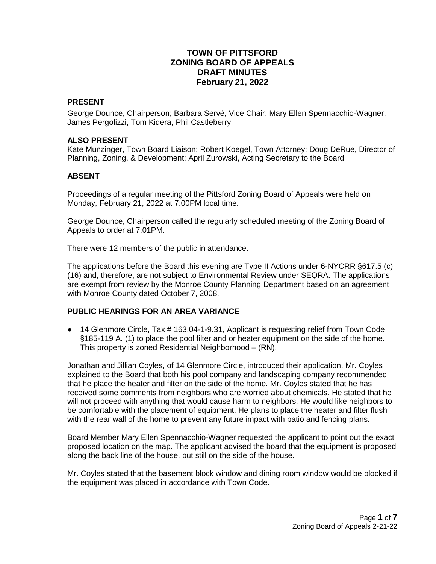# **TOWN OF PITTSFORD ZONING BOARD OF APPEALS DRAFT MINUTES February 21, 2022**

#### **PRESENT**

George Dounce, Chairperson; Barbara Servé, Vice Chair; Mary Ellen Spennacchio-Wagner, James Pergolizzi, Tom Kidera, Phil Castleberry

#### **ALSO PRESENT**

Kate Munzinger, Town Board Liaison; Robert Koegel, Town Attorney; Doug DeRue, Director of Planning, Zoning, & Development; April Zurowski, Acting Secretary to the Board

### **ABSENT**

Proceedings of a regular meeting of the Pittsford Zoning Board of Appeals were held on Monday, February 21, 2022 at 7:00PM local time.

George Dounce, Chairperson called the regularly scheduled meeting of the Zoning Board of Appeals to order at 7:01PM.

There were 12 members of the public in attendance.

The applications before the Board this evening are Type II Actions under 6-NYCRR §617.5 (c) (16) and, therefore, are not subject to Environmental Review under SEQRA. The applications are exempt from review by the Monroe County Planning Department based on an agreement with Monroe County dated October 7, 2008.

### **PUBLIC HEARINGS FOR AN AREA VARIANCE**

● 14 Glenmore Circle, Tax # 163.04-1-9.31, Applicant is requesting relief from Town Code §185-119 A. (1) to place the pool filter and or heater equipment on the side of the home. This property is zoned Residential Neighborhood – (RN).

Jonathan and Jillian Coyles, of 14 Glenmore Circle, introduced their application. Mr. Coyles explained to the Board that both his pool company and landscaping company recommended that he place the heater and filter on the side of the home. Mr. Coyles stated that he has received some comments from neighbors who are worried about chemicals. He stated that he will not proceed with anything that would cause harm to neighbors. He would like neighbors to be comfortable with the placement of equipment. He plans to place the heater and filter flush with the rear wall of the home to prevent any future impact with patio and fencing plans.

Board Member Mary Ellen Spennacchio-Wagner requested the applicant to point out the exact proposed location on the map. The applicant advised the board that the equipment is proposed along the back line of the house, but still on the side of the house.

Mr. Coyles stated that the basement block window and dining room window would be blocked if the equipment was placed in accordance with Town Code.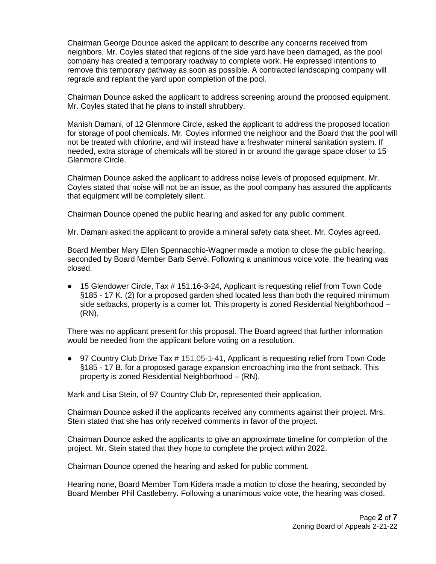Chairman George Dounce asked the applicant to describe any concerns received from neighbors. Mr. Coyles stated that regions of the side yard have been damaged, as the pool company has created a temporary roadway to complete work. He expressed intentions to remove this temporary pathway as soon as possible. A contracted landscaping company will regrade and replant the yard upon completion of the pool.

Chairman Dounce asked the applicant to address screening around the proposed equipment. Mr. Coyles stated that he plans to install shrubbery.

Manish Damani, of 12 Glenmore Circle, asked the applicant to address the proposed location for storage of pool chemicals. Mr. Coyles informed the neighbor and the Board that the pool will not be treated with chlorine, and will instead have a freshwater mineral sanitation system. If needed, extra storage of chemicals will be stored in or around the garage space closer to 15 Glenmore Circle.

Chairman Dounce asked the applicant to address noise levels of proposed equipment. Mr. Coyles stated that noise will not be an issue, as the pool company has assured the applicants that equipment will be completely silent.

Chairman Dounce opened the public hearing and asked for any public comment.

Mr. Damani asked the applicant to provide a mineral safety data sheet. Mr. Coyles agreed.

Board Member Mary Ellen Spennacchio-Wagner made a motion to close the public hearing, seconded by Board Member Barb Servé. Following a unanimous voice vote, the hearing was closed.

● 15 Glendower Circle, Tax # 151.16-3-24, Applicant is requesting relief from Town Code §185 - 17 K. (2) for a proposed garden shed located less than both the required minimum side setbacks, property is a corner lot. This property is zoned Residential Neighborhood – (RN).

There was no applicant present for this proposal. The Board agreed that further information would be needed from the applicant before voting on a resolution.

● 97 Country Club Drive Tax # 151.05-1-41, Applicant is requesting relief from Town Code §185 - 17 B. for a proposed garage expansion encroaching into the front setback. This property is zoned Residential Neighborhood – (RN).

Mark and Lisa Stein, of 97 Country Club Dr, represented their application.

Chairman Dounce asked if the applicants received any comments against their project. Mrs. Stein stated that she has only received comments in favor of the project.

Chairman Dounce asked the applicants to give an approximate timeline for completion of the project. Mr. Stein stated that they hope to complete the project within 2022.

Chairman Dounce opened the hearing and asked for public comment.

Hearing none, Board Member Tom Kidera made a motion to close the hearing, seconded by Board Member Phil Castleberry. Following a unanimous voice vote, the hearing was closed.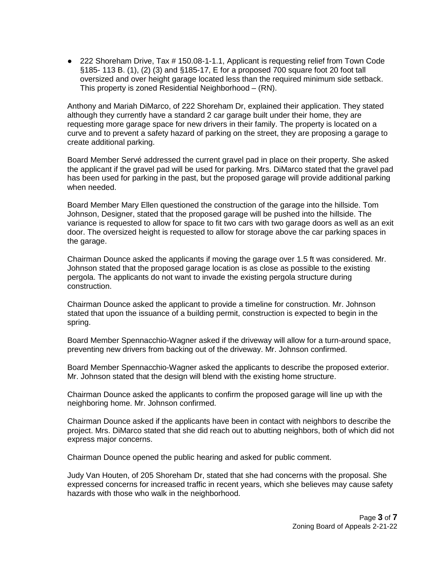● 222 Shoreham Drive, Tax # 150.08-1-1.1, Applicant is requesting relief from Town Code §185- 113 B. (1), (2) (3) and §185-17, E for a proposed 700 square foot 20 foot tall oversized and over height garage located less than the required minimum side setback. This property is zoned Residential Neighborhood – (RN).

Anthony and Mariah DiMarco, of 222 Shoreham Dr, explained their application. They stated although they currently have a standard 2 car garage built under their home, they are requesting more garage space for new drivers in their family. The property is located on a curve and to prevent a safety hazard of parking on the street, they are proposing a garage to create additional parking.

Board Member Servé addressed the current gravel pad in place on their property. She asked the applicant if the gravel pad will be used for parking. Mrs. DiMarco stated that the gravel pad has been used for parking in the past, but the proposed garage will provide additional parking when needed.

Board Member Mary Ellen questioned the construction of the garage into the hillside. Tom Johnson, Designer, stated that the proposed garage will be pushed into the hillside. The variance is requested to allow for space to fit two cars with two garage doors as well as an exit door. The oversized height is requested to allow for storage above the car parking spaces in the garage.

Chairman Dounce asked the applicants if moving the garage over 1.5 ft was considered. Mr. Johnson stated that the proposed garage location is as close as possible to the existing pergola. The applicants do not want to invade the existing pergola structure during construction.

Chairman Dounce asked the applicant to provide a timeline for construction. Mr. Johnson stated that upon the issuance of a building permit, construction is expected to begin in the spring.

Board Member Spennacchio-Wagner asked if the driveway will allow for a turn-around space, preventing new drivers from backing out of the driveway. Mr. Johnson confirmed.

Board Member Spennacchio-Wagner asked the applicants to describe the proposed exterior. Mr. Johnson stated that the design will blend with the existing home structure.

Chairman Dounce asked the applicants to confirm the proposed garage will line up with the neighboring home. Mr. Johnson confirmed.

Chairman Dounce asked if the applicants have been in contact with neighbors to describe the project. Mrs. DiMarco stated that she did reach out to abutting neighbors, both of which did not express major concerns.

Chairman Dounce opened the public hearing and asked for public comment.

Judy Van Houten, of 205 Shoreham Dr, stated that she had concerns with the proposal. She expressed concerns for increased traffic in recent years, which she believes may cause safety hazards with those who walk in the neighborhood.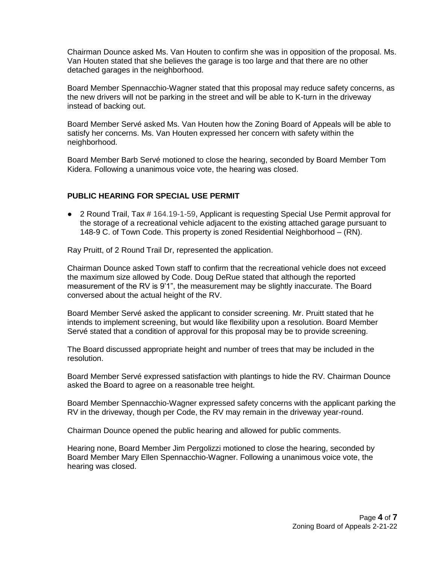Chairman Dounce asked Ms. Van Houten to confirm she was in opposition of the proposal. Ms. Van Houten stated that she believes the garage is too large and that there are no other detached garages in the neighborhood.

Board Member Spennacchio-Wagner stated that this proposal may reduce safety concerns, as the new drivers will not be parking in the street and will be able to K-turn in the driveway instead of backing out.

Board Member Servé asked Ms. Van Houten how the Zoning Board of Appeals will be able to satisfy her concerns. Ms. Van Houten expressed her concern with safety within the neighborhood.

Board Member Barb Servé motioned to close the hearing, seconded by Board Member Tom Kidera. Following a unanimous voice vote, the hearing was closed.

## **PUBLIC HEARING FOR SPECIAL USE PERMIT**

● 2 Round Trail, Tax # 164.19-1-59, Applicant is requesting Special Use Permit approval for the storage of a recreational vehicle adjacent to the existing attached garage pursuant to 148-9 C. of Town Code. This property is zoned Residential Neighborhood – (RN).

Ray Pruitt, of 2 Round Trail Dr, represented the application.

Chairman Dounce asked Town staff to confirm that the recreational vehicle does not exceed the maximum size allowed by Code. Doug DeRue stated that although the reported measurement of the RV is 9'1", the measurement may be slightly inaccurate. The Board conversed about the actual height of the RV.

Board Member Servé asked the applicant to consider screening. Mr. Pruitt stated that he intends to implement screening, but would like flexibility upon a resolution. Board Member Servé stated that a condition of approval for this proposal may be to provide screening.

The Board discussed appropriate height and number of trees that may be included in the resolution.

Board Member Servé expressed satisfaction with plantings to hide the RV. Chairman Dounce asked the Board to agree on a reasonable tree height.

Board Member Spennacchio-Wagner expressed safety concerns with the applicant parking the RV in the driveway, though per Code, the RV may remain in the driveway year-round.

Chairman Dounce opened the public hearing and allowed for public comments.

Hearing none, Board Member Jim Pergolizzi motioned to close the hearing, seconded by Board Member Mary Ellen Spennacchio-Wagner. Following a unanimous voice vote, the hearing was closed.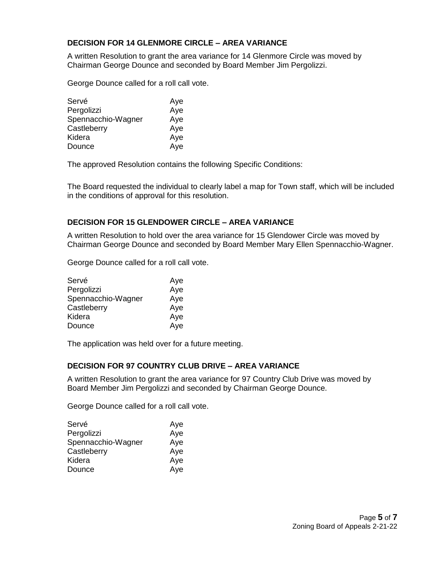# **DECISION FOR 14 GLENMORE CIRCLE – AREA VARIANCE**

A written Resolution to grant the area variance for 14 Glenmore Circle was moved by Chairman George Dounce and seconded by Board Member Jim Pergolizzi.

George Dounce called for a roll call vote.

| Servé              | Aye |
|--------------------|-----|
| Pergolizzi         | Aye |
| Spennacchio-Wagner | Aye |
| Castleberry        | Aye |
| Kidera             | Aye |
| Dounce             | Aye |

The approved Resolution contains the following Specific Conditions:

The Board requested the individual to clearly label a map for Town staff, which will be included in the conditions of approval for this resolution.

## **DECISION FOR 15 GLENDOWER CIRCLE – AREA VARIANCE**

A written Resolution to hold over the area variance for 15 Glendower Circle was moved by Chairman George Dounce and seconded by Board Member Mary Ellen Spennacchio-Wagner.

George Dounce called for a roll call vote.

| Servé              | Aye |
|--------------------|-----|
| Pergolizzi         | Aye |
| Spennacchio-Wagner | Aye |
| Castleberry        | Aye |
| Kidera             | Aye |
| Dounce             | Aye |

The application was held over for a future meeting.

### **DECISION FOR 97 COUNTRY CLUB DRIVE – AREA VARIANCE**

A written Resolution to grant the area variance for 97 Country Club Drive was moved by Board Member Jim Pergolizzi and seconded by Chairman George Dounce.

George Dounce called for a roll call vote.

| Aye |
|-----|
| Aye |
| Aye |
| Aye |
| Aye |
| Aye |
|     |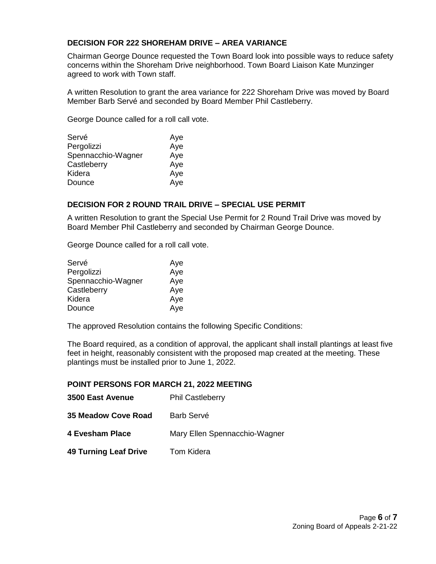## **DECISION FOR 222 SHOREHAM DRIVE – AREA VARIANCE**

Chairman George Dounce requested the Town Board look into possible ways to reduce safety concerns within the Shoreham Drive neighborhood. Town Board Liaison Kate Munzinger agreed to work with Town staff.

A written Resolution to grant the area variance for 222 Shoreham Drive was moved by Board Member Barb Servé and seconded by Board Member Phil Castleberry.

George Dounce called for a roll call vote.

| Servé              | Aye |
|--------------------|-----|
| Pergolizzi         | Aye |
| Spennacchio-Wagner | Aye |
| Castleberry        | Aye |
| Kidera             | Aye |
| Dounce             | Aye |
|                    |     |

### **DECISION FOR 2 ROUND TRAIL DRIVE – SPECIAL USE PERMIT**

A written Resolution to grant the Special Use Permit for 2 Round Trail Drive was moved by Board Member Phil Castleberry and seconded by Chairman George Dounce.

George Dounce called for a roll call vote.

| Servé              | Aye |
|--------------------|-----|
| Pergolizzi         | Aye |
| Spennacchio-Wagner | Aye |
| Castleberry        | Aye |
| Kidera             | Aye |
| Dounce             | Aye |

The approved Resolution contains the following Specific Conditions:

The Board required, as a condition of approval, the applicant shall install plantings at least five feet in height, reasonably consistent with the proposed map created at the meeting. These plantings must be installed prior to June 1, 2022.

#### **POINT PERSONS FOR MARCH 21, 2022 MEETING**

| 3500 East Avenue             | <b>Phil Castleberry</b>       |
|------------------------------|-------------------------------|
| 35 Meadow Cove Road          | Barb Servé                    |
| 4 Evesham Place              | Mary Ellen Spennacchio-Wagner |
| <b>49 Turning Leaf Drive</b> | Tom Kidera                    |